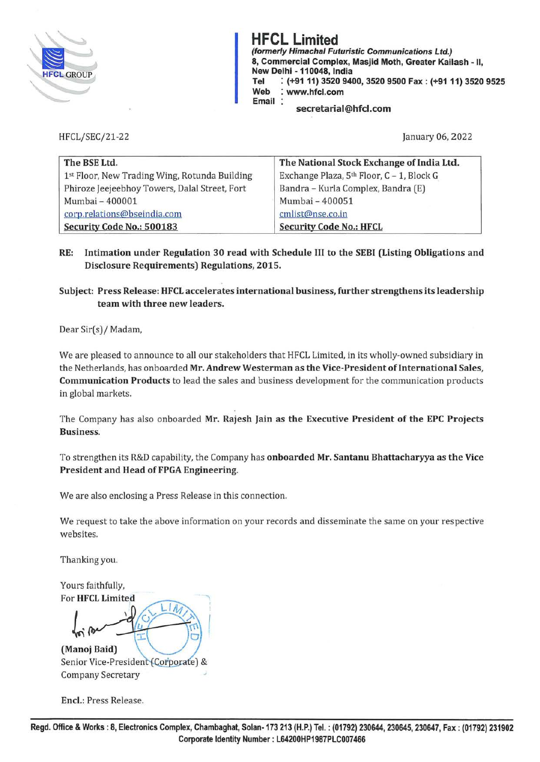

**HFCL Limited (formerly Himachal Futuristic Communications Ltd.) 8, Commercial Complex, Masjid Moth, Greater Kailash** - II, **New Delhi** - **110048, India Tel** : **(+91 11) 3520 9400, 3520 9500 Fax: (+91 11) 3520 9525 Web** : **www.hfcl.com Email secretarial@hfcl.com** 

HFCL/SEC/21-22

January 06, 2022

| The BSE Ltd.                                  | The National Stock Exchange of India Ltd. |
|-----------------------------------------------|-------------------------------------------|
| 1st Floor, New Trading Wing, Rotunda Building | Exchange Plaza, 5th Floor, C - 1, Block G |
| Phiroze Jeejeebhoy Towers, Dalal Street, Fort | Bandra - Kurla Complex, Bandra (E)        |
| Mumbai - 400001                               | Mumbai - 400051                           |
| corp.relations@bseindia.com                   | cmlist@nse.co.in                          |
| Security Code No.: 500183                     | <b>Security Code No.: HFCL</b>            |

**RE: Intimation under Regulation 30 read with Schedule** III **to the SEBI (Listing Obligations and Disclosure Requirements) Regulations, 2015.** 

**Subject: Press Release: HFCL accelerates international business, further strengthens its leadership team with three new leaders.** 

Dear Sir(s)/ Madam,

We are pleased to announce to all our stakeholders that HFCL Limited, in its wholly-owned subsidiary in the Netherlands, has on boarded **Mr. Andrew Westerman as the Vice-President of International Sales, Communication Products** to lead the sales and business development for the communication products in global markets.

The Company has also onboarded **Mr. Rajesh Jain as the Executive President of the EPC Projects Business.** 

To strengthen its R&D capability, the Company has **onboarded Mr. Santanu Bhattacharyya as the Vice President and Head of FPGA Engineering.** 

We are also enclosing a Press Release in this connection.

We request to take the above information on your records and disseminate the same on your respective websites.

Thanking you.

Yours faithfully, For HFCL Limited

·, !

**(Manoj Baid)**  Senior Vice-President (Corporate) & Company Secretary

**Encl.:** Press Release.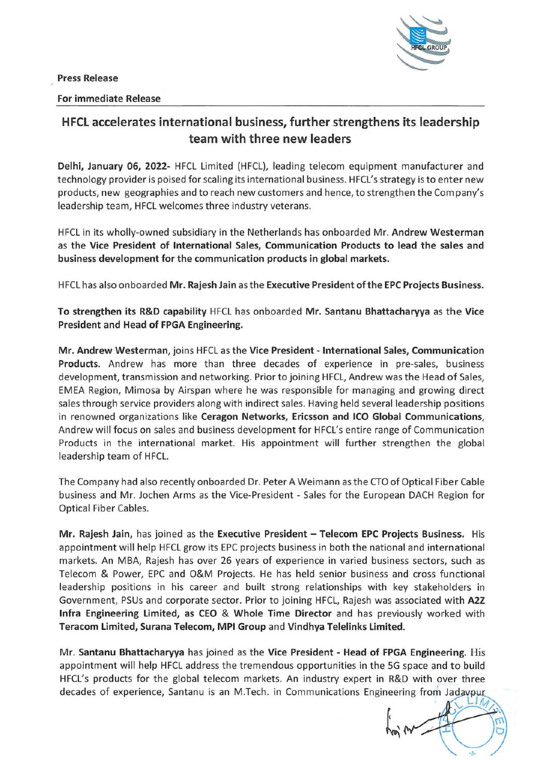**Press Release** 



## **For immediate Release**



## **HFCL accelerates international business, further strengthens its leadership team with three new leaders**

**Delhi, January 06, 2022-** HFCL Limited (HFCL}, leading telecom equipment manufacturer and technology provider is poised for scaling its international business. HFCL's strategy is to enter new products, new geographies and to reach new customers and hence, to strengthen the Company's leadership team, HFCL welcomes three industry veterans.

HFCL in its wholly-owned subsidiary in the Netherlands has onboarded Mr. **Andrew Westerman**  as the **Vice President of International Sales, Communication Products to lead the sales and business development for the communication products in global markets.** 

HFCL has also on boarded **Mr. Rajesh Jain** as the **Executive President of the EPC Projects Business.** 

**To strengthen its R&D capability** HFCL has onboarded **Mr. Santanu Bhattacharyya** as the **Vice President and Head of FPGA Engineering.** 

**Mr. Andrew Westerman,** joins HFCL as the **Vice President** - **International Sales, Communication Products.** Andrew has more than three decades of experience in pre-sales, business development, transmission and networking. Prior to joining HFCL, Andrew was the Head of Sales, EMEA Region, Mimosa by Airspan where he was responsible for managing and growing direct sales through service providers along with indirect sales. Having held several leadership positions in renowned organizations like **Ceragon Networks, Ericsson and ICO Global Communications,**  Andrew will focus on sales and business development for HFCL's entire range of Communication Products in the international market. His appointment will further strengthen the global leadership team of HFCL.

The Company had also recently onboarded Dr. Peter A Weimann as the CTO of Optical Fiber Cable business and Mr. Jochen Arms as the Vice-President - Sales for the European DACH Region for Optical Fiber Cables.

**Mr. Rajesh Jain,** has joined as the **Executive President** - **Telecom EPC Projects Business.** His appointment will help HFCL grow its EPC projects business in both the national and international markets. An MBA, Rajesh has over 26 years of experience in varied business sectors, such as Telecom & Power, EPC and O&M Projects. He has held senior business and cross functional leadership positions in his career and built strong relationships with key stakeholders in Government, PSUs and corporate sector. Prior to joining HFCL, Rajesh was associated with **A22 Infra Engineering Limited, as CEO** & **Whole Time Director** and has previously worked with **Teracom Limited, Surana Telecom, MPI Group** and **Vindhya Telelinks Limited.** 

Mr. **Santanu Bhattacharyya** has joined as the **Vice President** - **Head of FPGA Engineering.** His appointment will help HFCL address the tremendous opportunities in the SG space and to build HFCL's products for the global telecom markets. An industry expert in R&D with over three decades of experience, Santanu is an M.Tech. in Communications Engineering from Jadavpur

 $\left($  $m \rightarrow m$